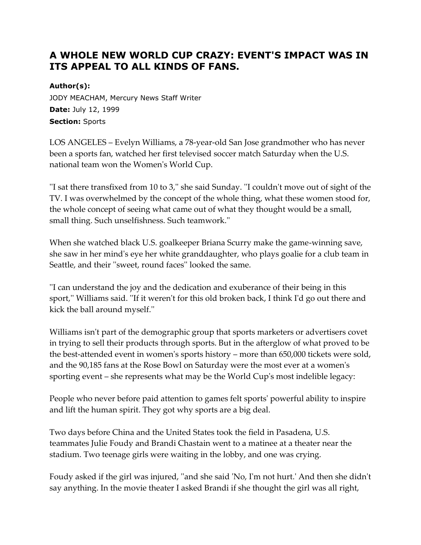## **A WHOLE NEW WORLD CUP CRAZY: EVENT'S IMPACT WAS IN ITS APPEAL TO ALL KINDS OF FANS.**

## **Author(s):**

JODY MEACHAM, Mercury News Staff Writer **Date:** July 12, 1999 **Section:** Sports

LOS ANGELES – Evelyn Williams, a 78-year-old San Jose grandmother who has never been a sports fan, watched her first televised soccer match Saturday when the U.S. national team won the Women's World Cup.

''I sat there transfixed from 10 to 3,'' she said Sunday. ''I couldn't move out of sight of the TV. I was overwhelmed by the concept of the whole thing, what these women stood for, the whole concept of seeing what came out of what they thought would be a small, small thing. Such unselfishness. Such teamwork.''

When she watched black U.S. goalkeeper Briana Scurry make the game-winning save, she saw in her mind's eye her white granddaughter, who plays goalie for a club team in Seattle, and their ''sweet, round faces'' looked the same.

''I can understand the joy and the dedication and exuberance of their being in this sport,'' Williams said. ''If it weren't for this old broken back, I think I'd go out there and kick the ball around myself.''

Williams isn't part of the demographic group that sports marketers or advertisers covet in trying to sell their products through sports. But in the afterglow of what proved to be the best-attended event in women's sports history – more than 650,000 tickets were sold, and the 90,185 fans at the Rose Bowl on Saturday were the most ever at a women's sporting event – she represents what may be the World Cup's most indelible legacy:

People who never before paid attention to games felt sports' powerful ability to inspire and lift the human spirit. They got why sports are a big deal.

Two days before China and the United States took the field in Pasadena, U.S. teammates Julie Foudy and Brandi Chastain went to a matinee at a theater near the stadium. Two teenage girls were waiting in the lobby, and one was crying.

Foudy asked if the girl was injured, ''and she said 'No, I'm not hurt.' And then she didn't say anything. In the movie theater I asked Brandi if she thought the girl was all right,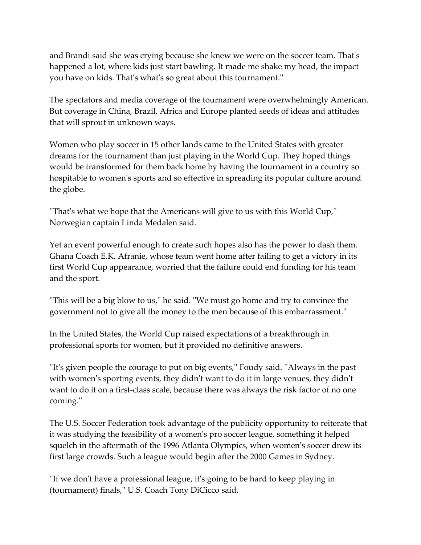and Brandi said she was crying because she knew we were on the soccer team. That's happened a lot, where kids just start bawling. It made me shake my head, the impact you have on kids. That's what's so great about this tournament.''

The spectators and media coverage of the tournament were overwhelmingly American. But coverage in China, Brazil, Africa and Europe planted seeds of ideas and attitudes that will sprout in unknown ways.

Women who play soccer in 15 other lands came to the United States with greater dreams for the tournament than just playing in the World Cup. They hoped things would be transformed for them back home by having the tournament in a country so hospitable to women's sports and so effective in spreading its popular culture around the globe.

''That's what we hope that the Americans will give to us with this World Cup,'' Norwegian captain Linda Medalen said.

Yet an event powerful enough to create such hopes also has the power to dash them. Ghana Coach E.K. Afranie, whose team went home after failing to get a victory in its first World Cup appearance, worried that the failure could end funding for his team and the sport.

''This will be a big blow to us,'' he said. ''We must go home and try to convince the government not to give all the money to the men because of this embarrassment.''

In the United States, the World Cup raised expectations of a breakthrough in professional sports for women, but it provided no definitive answers.

''It's given people the courage to put on big events,'' Foudy said. ''Always in the past with women's sporting events, they didn't want to do it in large venues, they didn't want to do it on a first-class scale, because there was always the risk factor of no one coming.''

The U.S. Soccer Federation took advantage of the publicity opportunity to reiterate that it was studying the feasibility of a women's pro soccer league, something it helped squelch in the aftermath of the 1996 Atlanta Olympics, when women's soccer drew its first large crowds. Such a league would begin after the 2000 Games in Sydney.

''If we don't have a professional league, it's going to be hard to keep playing in (tournament) finals,'' U.S. Coach Tony DiCicco said.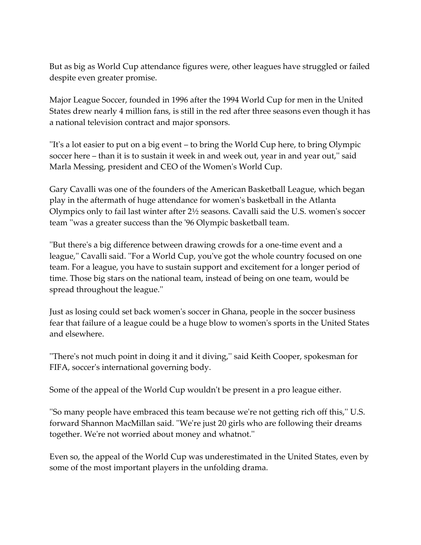But as big as World Cup attendance figures were, other leagues have struggled or failed despite even greater promise.

Major League Soccer, founded in 1996 after the 1994 World Cup for men in the United States drew nearly 4 million fans, is still in the red after three seasons even though it has a national television contract and major sponsors.

''It's a lot easier to put on a big event – to bring the World Cup here, to bring Olympic soccer here – than it is to sustain it week in and week out, year in and year out,'' said Marla Messing, president and CEO of the Women's World Cup.

Gary Cavalli was one of the founders of the American Basketball League, which began play in the aftermath of huge attendance for women's basketball in the Atlanta Olympics only to fail last winter after 2½ seasons. Cavalli said the U.S. women's soccer team ''was a greater success than the '96 Olympic basketball team.

''But there's a big difference between drawing crowds for a one-time event and a league,'' Cavalli said. ''For a World Cup, you've got the whole country focused on one team. For a league, you have to sustain support and excitement for a longer period of time. Those big stars on the national team, instead of being on one team, would be spread throughout the league.''

Just as losing could set back women's soccer in Ghana, people in the soccer business fear that failure of a league could be a huge blow to women's sports in the United States and elsewhere.

''There's not much point in doing it and it diving,'' said Keith Cooper, spokesman for FIFA, soccer's international governing body.

Some of the appeal of the World Cup wouldn't be present in a pro league either.

''So many people have embraced this team because we're not getting rich off this,'' U.S. forward Shannon MacMillan said. ''We're just 20 girls who are following their dreams together. We're not worried about money and whatnot.''

Even so, the appeal of the World Cup was underestimated in the United States, even by some of the most important players in the unfolding drama.